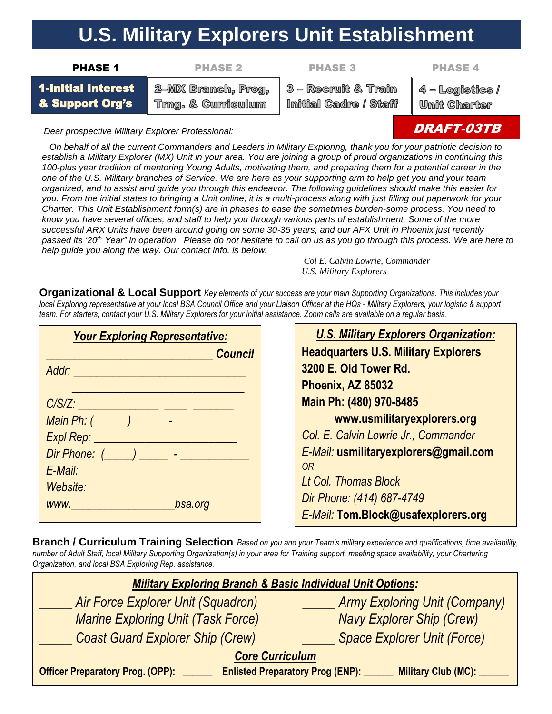## **U.S. Military Explorers Unit Establishment**

| <b>PHASE 1</b>            | <b>PHASE 2</b>     | <b>PHASE 3</b>                                | <b>PHASE 4</b> |
|---------------------------|--------------------|-----------------------------------------------|----------------|
| <b>1-Initial Interest</b> | 2-MX Branch, Prog, | $\Box$ 3 – Recruit & Train $\Box$ 4 – Logisti |                |

& Support Org's

ı, Prog, Trng. & Curriculum

3 - Recruit & Train Imitial Cadre / Staff

 $4$  – Logistics / **Unit Charter** 

*Dear prospective Military Explorer Professional:*

 *On behalf of all the current Commanders and Leaders in Military Exploring, thank you for your patriotic decision to establish a Military Explorer (MX) Unit in your area. You are joining a group of proud organizations in continuing this 100-plus year tradition of mentoring Young Adults, motivating them, and preparing them for a potential career in the one of the U.S. Military branches of Service. We are here as your supporting arm to help get you and your team organized, and to assist and guide you through this endeavor. The following guidelines should make this easier for you. From the initial states to bringing a Unit online, it is a multi-process along with just filling out paperwork for your Charter. This Unit Establishment form(s) are in phases to ease the sometimes burden-some process. You need to know you have several offices, and staff to help you through various parts of establishment. Some of the more successful ARX Units have been around going on some 30-35 years, and our AFX Unit in Phoenix just recently passed its '20th Year" in operation. Please do not hesitate to call on us as you go through this process. We are here to help guide you along the way. Our contact info. is below.*

*Col E. Calvin Lowrie, Commander U.S. Military Explorers*

**Organizational & Local Support** *Key elements of your success are your main Supporting Organizations. This includes your local Exploring representative at your local BSA Council Office and your Liaison Officer at the HQs - Military Explorers, your logistic & support team. For starters, contact your U.S. Military Explorers for your initial assistance. Zoom calls are available on a regular basis.* 

| <b>Your Exploring Representative:</b> |                |  |
|---------------------------------------|----------------|--|
|                                       | <b>Council</b> |  |
| Addr: _______________________         |                |  |
|                                       |                |  |
|                                       |                |  |
|                                       |                |  |
| Expl Rep: ____                        |                |  |
| Dir Phone: (_____) ______ - _______   |                |  |
| E-Mail: ______                        |                |  |
| Website:                              |                |  |
| bsa.org                               |                |  |
|                                       |                |  |



**Branch / Curriculum Training Selection** *Based on you and your Team's military experience and qualifications, time availability, number of Adult Staff, local Military Supporting Organization(s) in your area for Training support, meeting space availability, your Chartering Organization, and local BSA Exploring Rep. assistance.*

| <b>Military Exploring Branch &amp; Basic Individual Unit Options:</b>                                    |                                      |  |  |  |
|----------------------------------------------------------------------------------------------------------|--------------------------------------|--|--|--|
| <b>Air Force Explorer Unit (Squadron)</b>                                                                | <b>Army Exploring Unit (Company)</b> |  |  |  |
| <b>Marine Exploring Unit (Task Force)</b>                                                                | <b>Navy Explorer Ship (Crew)</b>     |  |  |  |
| <b>Coast Guard Explorer Ship (Crew)</b>                                                                  | <b>Space Explorer Unit (Force)</b>   |  |  |  |
| <b>Core Curriculum</b>                                                                                   |                                      |  |  |  |
| <b>Enlisted Preparatory Prog (ENP): _</b><br>Officer Preparatory Prog. (OPP): _<br>Military Club (MC): _ |                                      |  |  |  |

## DRAFT-03TB